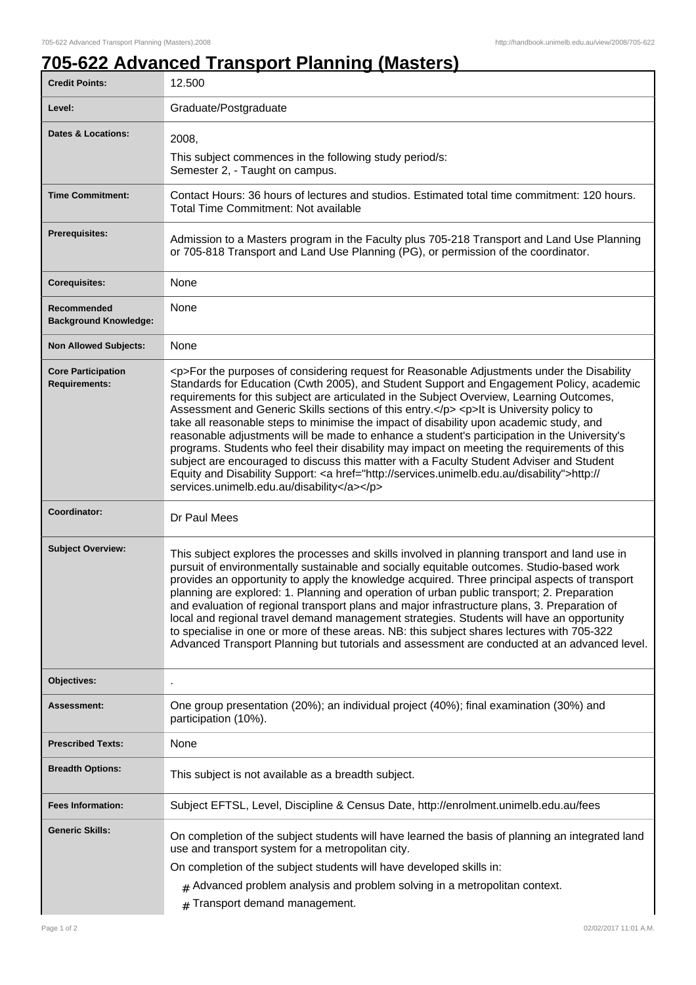٦

## **705-622 Advanced Transport Planning (Masters)**

| <b>Credit Points:</b>                             | 12.500                                                                                                                                                                                                                                                                                                                                                                                                                                                                                                                                                                                                                                                                                                                                                                                                                                                                                                                       |
|---------------------------------------------------|------------------------------------------------------------------------------------------------------------------------------------------------------------------------------------------------------------------------------------------------------------------------------------------------------------------------------------------------------------------------------------------------------------------------------------------------------------------------------------------------------------------------------------------------------------------------------------------------------------------------------------------------------------------------------------------------------------------------------------------------------------------------------------------------------------------------------------------------------------------------------------------------------------------------------|
| Level:                                            | Graduate/Postgraduate                                                                                                                                                                                                                                                                                                                                                                                                                                                                                                                                                                                                                                                                                                                                                                                                                                                                                                        |
| <b>Dates &amp; Locations:</b>                     | 2008,<br>This subject commences in the following study period/s:<br>Semester 2, - Taught on campus.                                                                                                                                                                                                                                                                                                                                                                                                                                                                                                                                                                                                                                                                                                                                                                                                                          |
| <b>Time Commitment:</b>                           | Contact Hours: 36 hours of lectures and studios. Estimated total time commitment: 120 hours.<br>Total Time Commitment: Not available                                                                                                                                                                                                                                                                                                                                                                                                                                                                                                                                                                                                                                                                                                                                                                                         |
| <b>Prerequisites:</b>                             | Admission to a Masters program in the Faculty plus 705-218 Transport and Land Use Planning<br>or 705-818 Transport and Land Use Planning (PG), or permission of the coordinator.                                                                                                                                                                                                                                                                                                                                                                                                                                                                                                                                                                                                                                                                                                                                             |
| <b>Corequisites:</b>                              | None                                                                                                                                                                                                                                                                                                                                                                                                                                                                                                                                                                                                                                                                                                                                                                                                                                                                                                                         |
| Recommended<br><b>Background Knowledge:</b>       | None                                                                                                                                                                                                                                                                                                                                                                                                                                                                                                                                                                                                                                                                                                                                                                                                                                                                                                                         |
| <b>Non Allowed Subjects:</b>                      | None                                                                                                                                                                                                                                                                                                                                                                                                                                                                                                                                                                                                                                                                                                                                                                                                                                                                                                                         |
| <b>Core Participation</b><br><b>Requirements:</b> | <p>For the purposes of considering request for Reasonable Adjustments under the Disability<br/>Standards for Education (Cwth 2005), and Student Support and Engagement Policy, academic<br/>requirements for this subject are articulated in the Subject Overview, Learning Outcomes,<br/>Assessment and Generic Skills sections of this entry.</p> <p>lt is University policy to<br/>take all reasonable steps to minimise the impact of disability upon academic study, and<br/>reasonable adjustments will be made to enhance a student's participation in the University's<br/>programs. Students who feel their disability may impact on meeting the requirements of this<br/>subject are encouraged to discuss this matter with a Faculty Student Adviser and Student<br/>Equity and Disability Support: &lt; a href="http://services.unimelb.edu.au/disability"&gt;http://<br/>services.unimelb.edu.au/disability</p> |
| Coordinator:                                      | Dr Paul Mees                                                                                                                                                                                                                                                                                                                                                                                                                                                                                                                                                                                                                                                                                                                                                                                                                                                                                                                 |
| <b>Subject Overview:</b>                          | This subject explores the processes and skills involved in planning transport and land use in<br>pursuit of environmentally sustainable and socially equitable outcomes. Studio-based work<br>provides an opportunity to apply the knowledge acquired. Three principal aspects of transport<br>planning are explored: 1. Planning and operation of urban public transport; 2. Preparation<br>and evaluation of regional transport plans and major infrastructure plans, 3. Preparation of<br>local and regional travel demand management strategies. Students will have an opportunity<br>to specialise in one or more of these areas. NB: this subject shares lectures with 705-322<br>Advanced Transport Planning but tutorials and assessment are conducted at an advanced level.                                                                                                                                         |
| Objectives:                                       |                                                                                                                                                                                                                                                                                                                                                                                                                                                                                                                                                                                                                                                                                                                                                                                                                                                                                                                              |
| Assessment:                                       | One group presentation (20%); an individual project (40%); final examination (30%) and<br>participation (10%).                                                                                                                                                                                                                                                                                                                                                                                                                                                                                                                                                                                                                                                                                                                                                                                                               |
| <b>Prescribed Texts:</b>                          | None                                                                                                                                                                                                                                                                                                                                                                                                                                                                                                                                                                                                                                                                                                                                                                                                                                                                                                                         |
| <b>Breadth Options:</b>                           | This subject is not available as a breadth subject.                                                                                                                                                                                                                                                                                                                                                                                                                                                                                                                                                                                                                                                                                                                                                                                                                                                                          |
| <b>Fees Information:</b>                          | Subject EFTSL, Level, Discipline & Census Date, http://enrolment.unimelb.edu.au/fees                                                                                                                                                                                                                                                                                                                                                                                                                                                                                                                                                                                                                                                                                                                                                                                                                                         |
| <b>Generic Skills:</b>                            | On completion of the subject students will have learned the basis of planning an integrated land<br>use and transport system for a metropolitan city.<br>On completion of the subject students will have developed skills in:<br>$#$ Advanced problem analysis and problem solving in a metropolitan context.<br># Transport demand management.                                                                                                                                                                                                                                                                                                                                                                                                                                                                                                                                                                              |